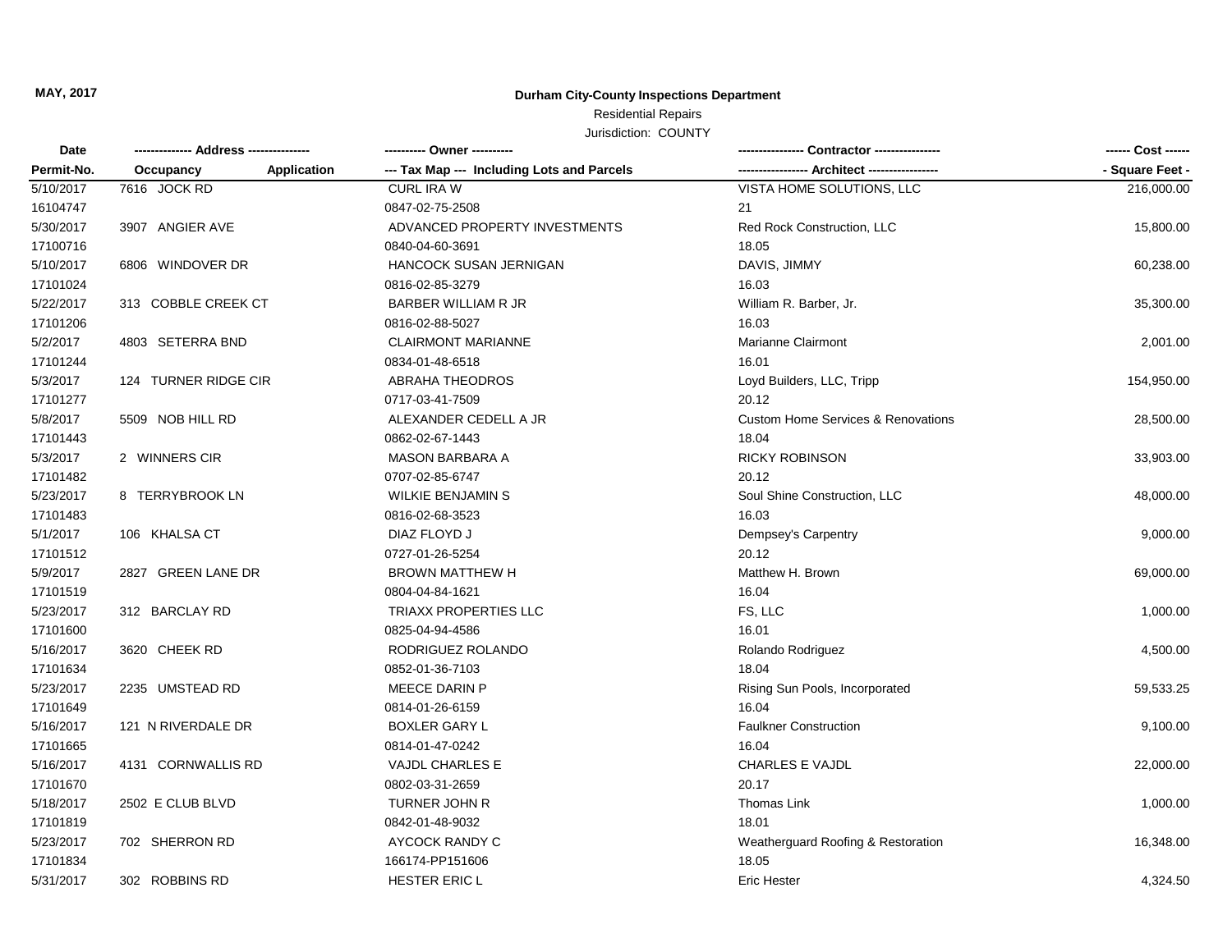**MAY, 2017**

## **Durham City-County Inspections Department**

## Residential Repairs

Jurisdiction: COUNTY

| Date<br>Permit-No. |                                 | ---------- Owner ----------<br>--- Tax Map --- Including Lots and Parcels | -- Architect ------                           | ------ Cost ------<br>- Square Feet - |
|--------------------|---------------------------------|---------------------------------------------------------------------------|-----------------------------------------------|---------------------------------------|
|                    | Occupancy<br><b>Application</b> |                                                                           |                                               |                                       |
| 5/10/2017          | 7616 JOCK RD                    | <b>CURL IRA W</b>                                                         | VISTA HOME SOLUTIONS, LLC                     | 216,000.00                            |
| 16104747           |                                 | 0847-02-75-2508                                                           | 21                                            |                                       |
| 5/30/2017          | 3907 ANGIER AVE                 | ADVANCED PROPERTY INVESTMENTS                                             | Red Rock Construction, LLC                    | 15,800.00                             |
| 17100716           |                                 | 0840-04-60-3691                                                           | 18.05                                         |                                       |
| 5/10/2017          | 6806 WINDOVER DR                | HANCOCK SUSAN JERNIGAN                                                    | DAVIS, JIMMY                                  | 60,238.00                             |
| 17101024           |                                 | 0816-02-85-3279                                                           | 16.03                                         |                                       |
| 5/22/2017          | 313 COBBLE CREEK CT             | <b>BARBER WILLIAM R JR</b>                                                | William R. Barber, Jr.                        | 35,300.00                             |
| 17101206           |                                 | 0816-02-88-5027                                                           | 16.03                                         |                                       |
| 5/2/2017           | 4803 SETERRA BND                | <b>CLAIRMONT MARIANNE</b>                                                 | <b>Marianne Clairmont</b>                     | 2,001.00                              |
| 17101244           |                                 | 0834-01-48-6518                                                           | 16.01                                         |                                       |
| 5/3/2017           | 124 TURNER RIDGE CIR            | <b>ABRAHA THEODROS</b>                                                    | Loyd Builders, LLC, Tripp                     | 154,950.00                            |
| 17101277           |                                 | 0717-03-41-7509                                                           | 20.12                                         |                                       |
| 5/8/2017           | 5509 NOB HILL RD                | ALEXANDER CEDELL A JR                                                     | <b>Custom Home Services &amp; Renovations</b> | 28,500.00                             |
| 17101443           |                                 | 0862-02-67-1443                                                           | 18.04                                         |                                       |
| 5/3/2017           | 2 WINNERS CIR                   | <b>MASON BARBARA A</b>                                                    | <b>RICKY ROBINSON</b>                         | 33,903.00                             |
| 17101482           |                                 | 0707-02-85-6747                                                           | 20.12                                         |                                       |
| 5/23/2017          | 8 TERRYBROOK LN                 | <b>WILKIE BENJAMIN S</b>                                                  | Soul Shine Construction, LLC                  | 48,000.00                             |
| 17101483           |                                 | 0816-02-68-3523                                                           | 16.03                                         |                                       |
| 5/1/2017           | 106 KHALSA CT                   | DIAZ FLOYD J                                                              | Dempsey's Carpentry                           | 9,000.00                              |
| 17101512           |                                 | 0727-01-26-5254                                                           | 20.12                                         |                                       |
| 5/9/2017           | 2827 GREEN LANE DR              | <b>BROWN MATTHEW H</b>                                                    | Matthew H. Brown                              | 69,000.00                             |
| 17101519           |                                 | 0804-04-84-1621                                                           | 16.04                                         |                                       |
| 5/23/2017          | 312 BARCLAY RD                  | <b>TRIAXX PROPERTIES LLC</b>                                              | FS, LLC                                       | 1,000.00                              |
| 17101600           |                                 | 0825-04-94-4586                                                           | 16.01                                         |                                       |
| 5/16/2017          | 3620 CHEEK RD                   | RODRIGUEZ ROLANDO                                                         | Rolando Rodriguez                             | 4,500.00                              |
| 17101634           |                                 | 0852-01-36-7103                                                           | 18.04                                         |                                       |
| 5/23/2017          | 2235 UMSTEAD RD                 | MEECE DARIN P                                                             | Rising Sun Pools, Incorporated                | 59,533.25                             |
| 17101649           |                                 | 0814-01-26-6159                                                           | 16.04                                         |                                       |
| 5/16/2017          | 121 N RIVERDALE DR              | <b>BOXLER GARY L</b>                                                      | <b>Faulkner Construction</b>                  | 9,100.00                              |
| 17101665           |                                 | 0814-01-47-0242                                                           | 16.04                                         |                                       |
| 5/16/2017          | 4131 CORNWALLIS RD              | VAJDL CHARLES E                                                           | <b>CHARLES E VAJDL</b>                        | 22,000.00                             |
| 17101670           |                                 | 0802-03-31-2659                                                           | 20.17                                         |                                       |
| 5/18/2017          | 2502 E CLUB BLVD                | TURNER JOHN R                                                             | Thomas Link                                   | 1,000.00                              |
| 17101819           |                                 | 0842-01-48-9032                                                           | 18.01                                         |                                       |
| 5/23/2017          | 702 SHERRON RD                  | AYCOCK RANDY C                                                            | Weatherguard Roofing & Restoration            | 16,348.00                             |
| 17101834           |                                 | 166174-PP151606                                                           | 18.05                                         |                                       |
| 5/31/2017          | 302 ROBBINS RD                  | HESTER ERIC L                                                             | <b>Eric Hester</b>                            | 4,324.50                              |